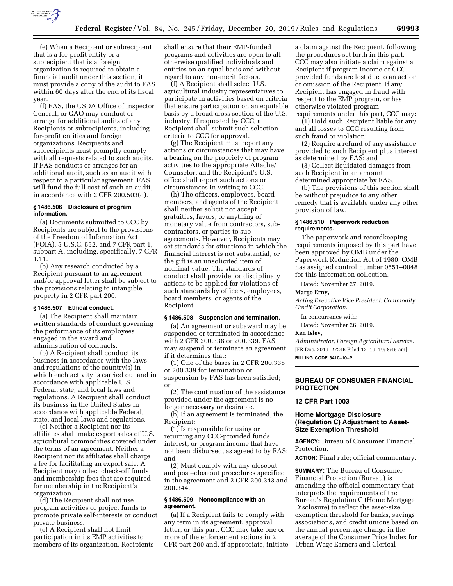

(e) When a Recipient or subrecipient that is a for-profit entity or a subrecipient that is a foreign organization is required to obtain a financial audit under this section, it must provide a copy of the audit to FAS within 60 days after the end of its fiscal year.

(f) FAS, the USDA Office of Inspector General, or GAO may conduct or arrange for additional audits of any Recipients or subrecipients, including for-profit entities and foreign organizations. Recipients and subrecipients must promptly comply with all requests related to such audits. If FAS conducts or arranges for an additional audit, such as an audit with respect to a particular agreement, FAS will fund the full cost of such an audit, in accordance with 2 CFR 200.503(d).

## **§ 1486.506 Disclosure of program information.**

(a) Documents submitted to CCC by Recipients are subject to the provisions of the Freedom of Information Act (FOIA), 5 U.S.C. 552, and 7 CFR part 1, subpart A, including, specifically, 7 CFR 1.11.

(b) Any research conducted by a Recipient pursuant to an agreement and/or approval letter shall be subject to the provisions relating to intangible property in 2 CFR part 200.

# **§ 1486.507 Ethical conduct.**

(a) The Recipient shall maintain written standards of conduct governing the performance of its employees engaged in the award and administration of contracts.

(b) A Recipient shall conduct its business in accordance with the laws and regulations of the country(s) in which each activity is carried out and in accordance with applicable U.S. Federal, state, and local laws and regulations. A Recipient shall conduct its business in the United States in accordance with applicable Federal, state, and local laws and regulations.

(c) Neither a Recipient nor its affiliates shall make export sales of U.S. agricultural commodities covered under the terms of an agreement. Neither a Recipient nor its affiliates shall charge a fee for facilitating an export sale. A Recipient may collect check-off funds and membership fees that are required for membership in the Recipient's organization.

(d) The Recipient shall not use program activities or project funds to promote private self-interests or conduct private business.

(e) A Recipient shall not limit participation in its EMP activities to members of its organization. Recipients shall ensure that their EMP-funded programs and activities are open to all otherwise qualified individuals and entities on an equal basis and without regard to any non-merit factors.

(f) A Recipient shall select U.S. agricultural industry representatives to participate in activities based on criteria that ensure participation on an equitable basis by a broad cross section of the U.S. industry. If requested by CCC, a Recipient shall submit such selection criteria to CCC for approval.

(g) The Recipient must report any actions or circumstances that may have a bearing on the propriety of program activities to the appropriate Attaché/ Counselor, and the Recipient's U.S. office shall report such actions or circumstances in writing to CCC.

(h) The officers, employees, board members, and agents of the Recipient shall neither solicit nor accept gratuities, favors, or anything of monetary value from contractors, subcontractors, or parties to subagreements. However, Recipients may set standards for situations in which the financial interest is not substantial, or the gift is an unsolicited item of nominal value. The standards of conduct shall provide for disciplinary actions to be applied for violations of such standards by officers, employees, board members, or agents of the Recipient.

#### **§ 1486.508 Suspension and termination.**

(a) An agreement or subaward may be suspended or terminated in accordance with 2 CFR 200.338 or 200.339. FAS may suspend or terminate an agreement if it determines that:

(1) One of the bases in 2 CFR 200.338 or 200.339 for termination or suspension by FAS has been satisfied; or

(2) The continuation of the assistance provided under the agreement is no longer necessary or desirable.

(b) If an agreement is terminated, the Recipient:

(1) Is responsible for using or returning any CCC-provided funds, interest, or program income that have not been disbursed, as agreed to by FAS; and

(2) Must comply with any closeout and post–closeout procedures specified in the agreement and 2 CFR 200.343 and 200.344.

## **§ 1486.509 Noncompliance with an agreement.**

(a) If a Recipient fails to comply with any term in its agreement, approval letter, or this part, CCC may take one or more of the enforcement actions in 2 CFR part 200 and, if appropriate, initiate a claim against the Recipient, following the procedures set forth in this part. CCC may also initiate a claim against a Recipient if program income or CCCprovided funds are lost due to an action or omission of the Recipient. If any Recipient has engaged in fraud with respect to the EMP program, or has otherwise violated program requirements under this part, CCC may:

(1) Hold such Recipient liable for any and all losses to CCC resulting from such fraud or violation;

(2) Require a refund of any assistance provided to such Recipient plus interest as determined by FAS; and

(3) Collect liquidated damages from such Recipient in an amount determined appropriate by FAS.

(b) The provisions of this section shall be without prejudice to any other remedy that is available under any other provision of law.

#### **§ 1486.510 Paperwork reduction requirements.**

The paperwork and recordkeeping requirements imposed by this part have been approved by OMB under the Paperwork Reduction Act of 1980. OMB has assigned control number 0551–0048 for this information collection.

Dated: November 27, 2019.

#### **Margo Erny,**

*Acting Executive Vice President, Commodity Credit Corporation.* 

In concurrence with:

Dated: November 26, 2019.

#### **Ken Isley,**

*Administrator, Foreign Agricultural Service.*  [FR Doc. 2019–27246 Filed 12–19–19; 8:45 am]

**BILLING CODE 3410–10–P** 

## **BUREAU OF CONSUMER FINANCIAL PROTECTION**

### **12 CFR Part 1003**

## **Home Mortgage Disclosure (Regulation C) Adjustment to Asset-Size Exemption Threshold**

**AGENCY:** Bureau of Consumer Financial Protection.

**ACTION:** Final rule; official commentary.

**SUMMARY:** The Bureau of Consumer Financial Protection (Bureau) is amending the official commentary that interprets the requirements of the Bureau's Regulation C (Home Mortgage Disclosure) to reflect the asset-size exemption threshold for banks, savings associations, and credit unions based on the annual percentage change in the average of the Consumer Price Index for Urban Wage Earners and Clerical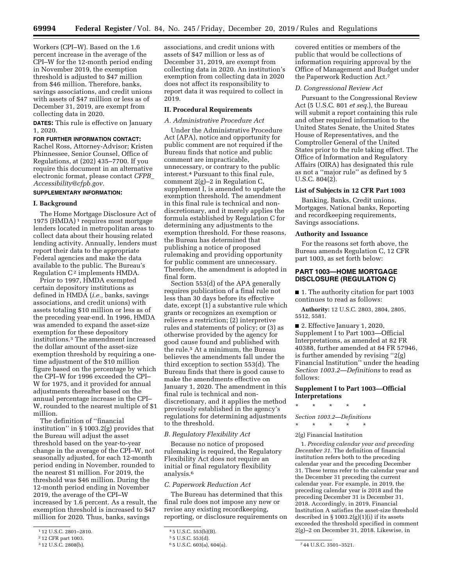Workers (CPI–W). Based on the 1.6 percent increase in the average of the CPI–W for the 12-month period ending in November 2019, the exemption threshold is adjusted to \$47 million from \$46 million. Therefore, banks, savings associations, and credit unions with assets of \$47 million or less as of December 31, 2019, are exempt from collecting data in 2020.

**DATES:** This rule is effective on January 1, 2020.

# **FOR FURTHER INFORMATION CONTACT:**

Rachel Ross, Attorney-Advisor; Kristen Phinnessee, Senior Counsel, Office of Regulations, at (202) 435–7700. If you require this document in an alternative electronic format, please contact *[CFPB](mailto:CFPB_Accessibility@cfpb.gov)*\_ *[Accessibility@cfpb.gov.](mailto:CFPB_Accessibility@cfpb.gov)* 

# **SUPPLEMENTARY INFORMATION:**

# **I. Background**

The Home Mortgage Disclosure Act of 1975 (HMDA)<sup>1</sup> requires most mortgage lenders located in metropolitan areas to collect data about their housing related lending activity. Annually, lenders must report their data to the appropriate Federal agencies and make the data available to the public. The Bureau's Regulation  $C^2$  implements HMDA.

Prior to 1997, HMDA exempted certain depository institutions as defined in HMDA (*i.e.,* banks, savings associations, and credit unions) with assets totaling \$10 million or less as of the preceding year-end. In 1996, HMDA was amended to expand the asset-size exemption for these depository institutions.3 The amendment increased the dollar amount of the asset-size exemption threshold by requiring a onetime adjustment of the \$10 million figure based on the percentage by which the CPI–W for 1996 exceeded the CPI– W for 1975, and it provided for annual adjustments thereafter based on the annual percentage increase in the CPI– W, rounded to the nearest multiple of \$1 million.

The definition of ''financial institution'' in § 1003.2(g) provides that the Bureau will adjust the asset threshold based on the year-to-year change in the average of the CPI–W, not seasonally adjusted, for each 12-month period ending in November, rounded to the nearest \$1 million. For 2019, the threshold was \$46 million. During the 12-month period ending in November 2019, the average of the CPI–W increased by 1.6 percent. As a result, the exemption threshold is increased to \$47 million for 2020. Thus, banks, savings

associations, and credit unions with assets of \$47 million or less as of December 31, 2019, are exempt from collecting data in 2020. An institution's exemption from collecting data in 2020 does not affect its responsibility to report data it was required to collect in 2019.

# **II. Procedural Requirements**

#### *A. Administrative Procedure Act*

Under the Administrative Procedure Act (APA), notice and opportunity for public comment are not required if the Bureau finds that notice and public comment are impracticable, unnecessary, or contrary to the public interest.4 Pursuant to this final rule, comment  $2(g)-2$  in Regulation C, supplement I, is amended to update the exemption threshold. The amendment in this final rule is technical and nondiscretionary, and it merely applies the formula established by Regulation C for determining any adjustments to the exemption threshold. For these reasons, the Bureau has determined that publishing a notice of proposed rulemaking and providing opportunity for public comment are unnecessary. Therefore, the amendment is adopted in final form.

Section 553(d) of the APA generally requires publication of a final rule not less than 30 days before its effective date, except (1) a substantive rule which grants or recognizes an exemption or relieves a restriction; (2) interpretive rules and statements of policy; or (3) as otherwise provided by the agency for good cause found and published with the rule.5 At a minimum, the Bureau believes the amendments fall under the third exception to section 553(d). The Bureau finds that there is good cause to make the amendments effective on January 1, 2020. The amendment in this final rule is technical and nondiscretionary, and it applies the method previously established in the agency's regulations for determining adjustments to the threshold.

## *B. Regulatory Flexibility Act*

Because no notice of proposed rulemaking is required, the Regulatory Flexibility Act does not require an initial or final regulatory flexibility analysis.6

#### *C. Paperwork Reduction Act*

The Bureau has determined that this final rule does not impose any new or revise any existing recordkeeping, reporting, or disclosure requirements on

covered entities or members of the public that would be collections of information requiring approval by the Office of Management and Budget under the Paperwork Reduction Act.7

### *D. Congressional Review Act*

Pursuant to the Congressional Review Act (5 U.S.C. 801 *et seq.*), the Bureau will submit a report containing this rule and other required information to the United States Senate, the United States House of Representatives, and the Comptroller General of the United States prior to the rule taking effect. The Office of Information and Regulatory Affairs (OIRA) has designated this rule as not a ''major rule'' as defined by 5 U.S.C. 804(2).

### **List of Subjects in 12 CFR Part 1003**

Banking, Banks, Credit unions, Mortgages, National banks, Reporting and recordkeeping requirements, Savings associations.

#### **Authority and Issuance**

For the reasons set forth above, the Bureau amends Regulation C, 12 CFR part 1003, as set forth below:

# **PART 1003—HOME MORTGAGE DISCLOSURE (REGULATION C)**

■ 1. The authority citation for part 1003 continues to read as follows:

**Authority:** 12 U.S.C. 2803, 2804, 2805, 5512, 5581.

■ 2. Effective January 1, 2020, Supplement I to Part 1003—Official Interpretations, as amended at 82 FR 40388, further amended at 84 FR 57946, is further amended by revising ''2(g) Financial Institution'' under the heading *Section 1003.2—Definitions* to read as follows:

**Supplement I to Part 1003—Official Interpretations** 

#### \* \* \* \* \*

*Section 1003.2—Definitions* 

\* \* \* \* \*

2(g) Financial Institution

1. *Preceding calendar year and preceding December 31.* The definition of financial institution refers both to the preceding calendar year and the preceding December 31. These terms refer to the calendar year and the December 31 preceding the current calendar year. For example, in 2019, the preceding calendar year is 2018 and the preceding December 31 is December 31, 2018. Accordingly, in 2019, Financial Institution A satisfies the asset-size threshold described in  $\S 1003.2(g)(1)(i)$  if its assets exceeded the threshold specified in comment 2(g)–2 on December 31, 2018. Likewise, in

<sup>1</sup> 12 U.S.C. 2801–2810.

<sup>2</sup> 12 CFR part 1003.

<sup>3</sup> 12 U.S.C. 2808(b).

<sup>4</sup> 5 U.S.C. 553(b)(B).

<sup>5</sup> 5 U.S.C. 553(d).

<sup>6</sup> 5 U.S.C. 603(a), 604(a). 7 44 U.S.C. 3501–3521.